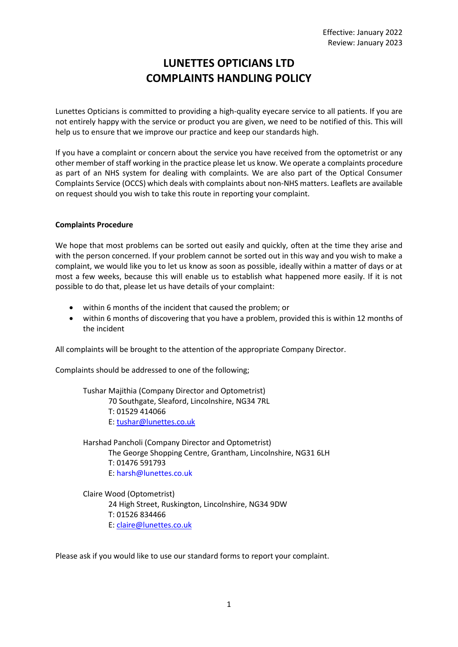# **LUNETTES OPTICIANS LTD COMPLAINTS HANDLING POLICY**

Lunettes Opticians is committed to providing a high-quality eyecare service to all patients. If you are not entirely happy with the service or product you are given, we need to be notified of this. This will help us to ensure that we improve our practice and keep our standards high.

If you have a complaint or concern about the service you have received from the optometrist or any other member of staff working in the practice please let us know. We operate a complaints procedure as part of an NHS system for dealing with complaints. We are also part of the Optical Consumer Complaints Service (OCCS) which deals with complaints about non-NHS matters. Leaflets are available on request should you wish to take this route in reporting your complaint.

# **Complaints Procedure**

We hope that most problems can be sorted out easily and quickly, often at the time they arise and with the person concerned. If your problem cannot be sorted out in this way and you wish to make a complaint, we would like you to let us know as soon as possible, ideally within a matter of days or at most a few weeks, because this will enable us to establish what happened more easily. If it is not possible to do that, please let us have details of your complaint:

- within 6 months of the incident that caused the problem; or
- within 6 months of discovering that you have a problem, provided this is within 12 months of the incident

All complaints will be brought to the attention of the appropriate Company Director.

Complaints should be addressed to one of the following;

Tushar Majithia (Company Director and Optometrist) 70 Southgate, Sleaford, Lincolnshire, NG34 7RL T: 01529 414066 E[: tushar@lunettes.co.uk](mailto:tushar@lunettes.co.uk) 

Harshad Pancholi (Company Director and Optometrist) The George Shopping Centre, Grantham, Lincolnshire, NG31 6LH T: 01476 591793 E[: harsh@lunettes.co.uk](mailto:harsh@lunettes.co.uk)

Claire Wood (Optometrist) 24 High Street, Ruskington, Lincolnshire, NG34 9DW T: 01526 834466 E[: claire@lunettes.co.uk](mailto:claire@lunettes.co.uk)

Please ask if you would like to use our standard forms to report your complaint.